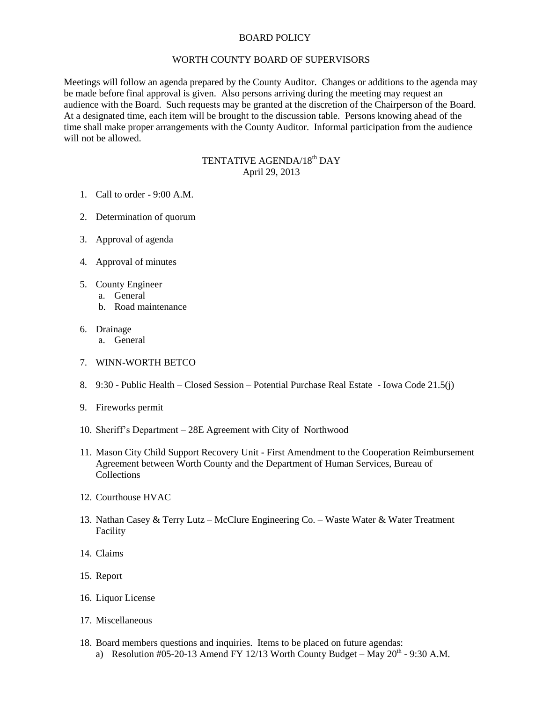## BOARD POLICY

## WORTH COUNTY BOARD OF SUPERVISORS

Meetings will follow an agenda prepared by the County Auditor. Changes or additions to the agenda may be made before final approval is given. Also persons arriving during the meeting may request an audience with the Board. Such requests may be granted at the discretion of the Chairperson of the Board. At a designated time, each item will be brought to the discussion table. Persons knowing ahead of the time shall make proper arrangements with the County Auditor. Informal participation from the audience will not be allowed.

## TENTATIVE AGENDA/18<sup>th</sup> DAY April 29, 2013

- 1. Call to order 9:00 A.M.
- 2. Determination of quorum
- 3. Approval of agenda
- 4. Approval of minutes
- 5. County Engineer
	- a. General
	- b. Road maintenance
- 6. Drainage
	- a. General
- 7. WINN-WORTH BETCO
- 8. 9:30 Public Health Closed Session Potential Purchase Real Estate Iowa Code 21.5(j)
- 9. Fireworks permit
- 10. Sheriff's Department 28E Agreement with City of Northwood
- 11. Mason City Child Support Recovery Unit First Amendment to the Cooperation Reimbursement Agreement between Worth County and the Department of Human Services, Bureau of Collections
- 12. Courthouse HVAC
- 13. Nathan Casey & Terry Lutz McClure Engineering Co. Waste Water & Water Treatment Facility
- 14. Claims
- 15. Report
- 16. Liquor License
- 17. Miscellaneous
- 18. Board members questions and inquiries. Items to be placed on future agendas: a) Resolution #05-20-13 Amend FY 12/13 Worth County Budget – May  $20^{th}$  - 9:30 A.M.